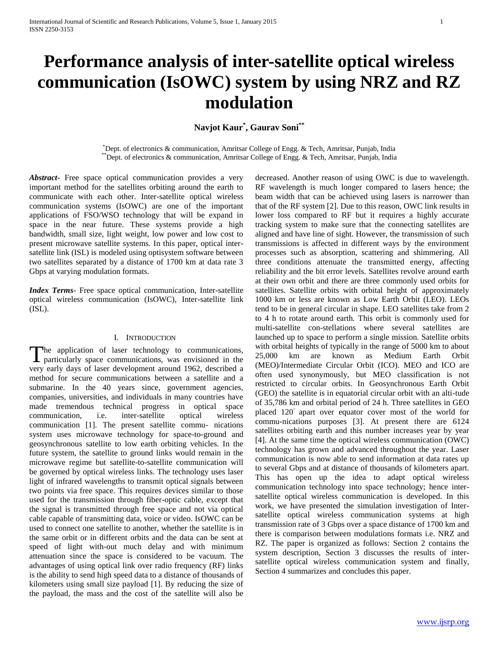# **Performance analysis of inter-satellite optical wireless communication (IsOWC) system by using NRZ and RZ modulation**

**Navjot Kaur\* , Gaurav Soni\*\***

\*Dept. of electronics & communication, Amritsar College of Engg. & Tech, Amritsar, Punjab, India \*\*Dept. of electronics & communication, Amritsar College of Engg. & Tech, Amritsar, Punjab, India

*Abstract***-** Free space optical communication provides a very important method for the satellites orbiting around the earth to communicate with each other. Inter-satellite optical wireless communication systems (IsOWC) are one of the important applications of FSO/WSO technology that will be expand in space in the near future. These systems provide a high bandwidth, small size, light weight, low power and low cost to present microwave satellite systems. In this paper, optical intersatellite link (ISL) is modeled using optisystem software between two satellites separated by a distance of 1700 km at data rate 3 Gbps at varying modulation formats.

*Index Terms*- Free space optical communication, Inter-satellite optical wireless communication (IsOWC), Inter-satellite link (ISL).

## I. INTRODUCTION

he application of laser technology to communications, The application of laser technology to communications, particularly space communications, was envisioned in the very early days of laser development around 1962, described a method for secure communications between a satellite and a submarine. In the 40 years since, government agencies, companies, universities, and individuals in many countries have made tremendous technical progress in optical space communication, i.e. inter-satellite optical wireless communication [1]. The present satellite commu- nications system uses microwave technology for space-to-ground and geosynchronous satellite to low earth orbiting vehicles. In the future system, the satellite to ground links would remain in the microwave regime but satellite-to-satellite communication will be governed by optical wireless links. The technology uses laser light of infrared wavelengths to transmit optical signals between two points via free space. This requires devices similar to those used for the transmission through fiber-optic cable, except that the signal is transmitted through free space and not via optical cable capable of transmitting data, voice or video. IsOWC can be used to connect one satellite to another, whether the satellite is in the same orbit or in different orbits and the data can be sent at speed of light with-out much delay and with minimum attenuation since the space is considered to be vacuum. The advantages of using optical link over radio frequency (RF) links is the ability to send high speed data to a distance of thousands of kilometers using small size payload [1]. By reducing the size of the payload, the mass and the cost of the satellite will also be

decreased. Another reason of using OWC is due to wavelength. RF wavelength is much longer compared to lasers hence; the beam width that can be achieved using lasers is narrower than that of the RF system [2]. Due to this reason, OWC link results in lower loss compared to RF but it requires a highly accurate tracking system to make sure that the connecting satellites are aligned and have line of sight. However, the transmission of such transmissions is affected in different ways by the environment processes such as absorption, scattering and shimmering. All three conditions attenuate the transmitted energy, affecting reliability and the bit error levels. Satellites revolve around earth at their own orbit and there are three commonly used orbits for satellites. Satellite orbits with orbital height of approximately 1000 km or less are known as Low Earth Orbit (LEO). LEOs tend to be in general circular in shape. LEO satellites take from 2 to 4 h to rotate around earth. This orbit is commonly used for multi-satellite con-stellations where several satellites are launched up to space to perform a single mission. Satellite orbits with orbital heights of typically in the range of 5000 km to about 25,000 km are known as Medium Earth Orbit (MEO)/Intermediate Circular Orbit (ICO). MEO and ICO are often used synonymously, but MEO classification is not restricted to circular orbits. In Geosynchronous Earth Orbit (GEO) the satellite is in equatorial circular orbit with an alti-tude of 35,786 km and orbital period of 24 h. Three satellites in GEO placed 120◦ apart over equator cover most of the world for commu-nications purposes [3]. At present there are 6124 satellites orbiting earth and this number increases year by year [4]. At the same time the optical wireless communication (OWC) technology has grown and advanced throughout the year. Laser communication is now able to send information at data rates up to several Gbps and at distance of thousands of kilometers apart. This has open up the idea to adapt optical wireless communication technology into space technology; hence intersatellite optical wireless communication is developed. In this work, we have presented the simulation investigation of Intersatellite optical wireless communication systems at high transmission rate of 3 Gbps over a space distance of 1700 km and there is comparison between modulations formats i.e. NRZ and RZ. The paper is organized as follows: Section 2 contains the system description, Section 3 discusses the results of intersatellite optical wireless communication system and finally, Section 4 summarizes and concludes this paper.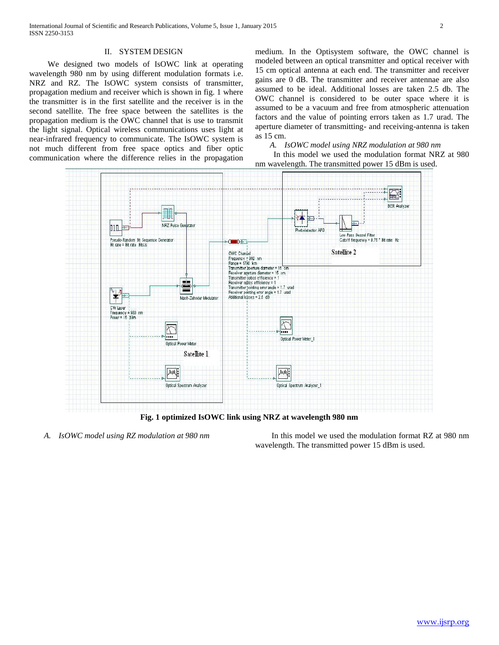## II. SYSTEM DESIGN

 We designed two models of IsOWC link at operating wavelength 980 nm by using different modulation formats i.e. NRZ and RZ. The IsOWC system consists of transmitter, propagation medium and receiver which is shown in fig. 1 where the transmitter is in the first satellite and the receiver is in the second satellite. The free space between the satellites is the propagation medium is the OWC channel that is use to transmit the light signal. Optical wireless communications uses light at near-infrared frequency to communicate. The IsOWC system is not much different from free space optics and fiber optic communication where the difference relies in the propagation

medium. In the Optisystem software, the OWC channel is modeled between an optical transmitter and optical receiver with 15 cm optical antenna at each end. The transmitter and receiver gains are 0 dB. The transmitter and receiver antennae are also assumed to be ideal. Additional losses are taken 2.5 db. The OWC channel is considered to be outer space where it is assumed to be a vacuum and free from atmospheric attenuation factors and the value of pointing errors taken as 1.7 urad. The aperture diameter of transmitting- and receiving-antenna is taken as 15 cm.

## *A. IsOWC model using NRZ modulation at 980 nm*

 In this model we used the modulation format NRZ at 980 nm wavelength. The transmitted power 15 dBm is used.



**Fig. 1 optimized IsOWC link using NRZ at wavelength 980 nm**

*A. IsOWC model using RZ modulation at 980 nm* In this model we used the modulation format RZ at 980 nm wavelength. The transmitted power 15 dBm is used.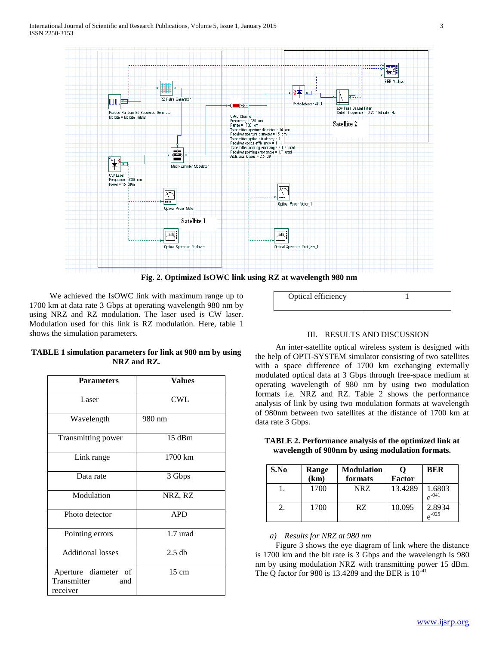

 We achieved the IsOWC link with maximum range up to 1700 km at data rate 3 Gbps at operating wavelength 980 nm by using NRZ and RZ modulation. The laser used is CW laser. Modulation used for this link is RZ modulation. Here, table 1 shows the simulation parameters.

**TABLE 1 simulation parameters for link at 980 nm by using NRZ and RZ.**

| <b>Parameters</b>                                      | <b>Values</b>   |  |  |
|--------------------------------------------------------|-----------------|--|--|
| Laser                                                  | <b>CWL</b>      |  |  |
| Wavelength                                             | 980 nm          |  |  |
| Transmitting power                                     | 15 dBm          |  |  |
| Link range                                             | 1700 km         |  |  |
| Data rate                                              | 3 Gbps          |  |  |
| Modulation                                             | NRZ, RZ         |  |  |
| Photo detector                                         | <b>APD</b>      |  |  |
| Pointing errors                                        | 1.7 urad        |  |  |
| <b>Additional losses</b>                               | $2.5$ db        |  |  |
| Aperture diameter of<br>Transmitter<br>and<br>receiver | $15 \text{ cm}$ |  |  |

| Optical efficiency |  |
|--------------------|--|
|                    |  |
|                    |  |

## III. RESULTS AND DISCUSSION

 An inter-satellite optical wireless system is designed with the help of OPTI-SYSTEM simulator consisting of two satellites with a space difference of 1700 km exchanging externally modulated optical data at 3 Gbps through free-space medium at operating wavelength of 980 nm by using two modulation formats i.e. NRZ and RZ. Table 2 shows the performance analysis of link by using two modulation formats at wavelength of 980nm between two satellites at the distance of 1700 km at data rate 3 Gbps.

| <b>TABLE 2. Performance analysis of the optimized link at</b> |
|---------------------------------------------------------------|
| wavelength of 980nm by using modulation formats.              |

| S.No | Range | <b>Modulation</b> |               | <b>BER</b>           |
|------|-------|-------------------|---------------|----------------------|
|      | (km)  | formats           | <b>Factor</b> |                      |
|      | 1700  | NRZ.              | 13.4289       | 1.6803<br>$e^{-041}$ |
| 2.   | 1700  | RZ.               | 10.095        | 2.8934<br>$e^{-025}$ |

*a) Results for NRZ at 980 nm*

 Figure 3 shows the eye diagram of link where the distance is 1700 km and the bit rate is 3 Gbps and the wavelength is 980 nm by using modulation NRZ with transmitting power 15 dBm. The Q factor for 980 is 13.4289 and the BER is  $10^{-41}$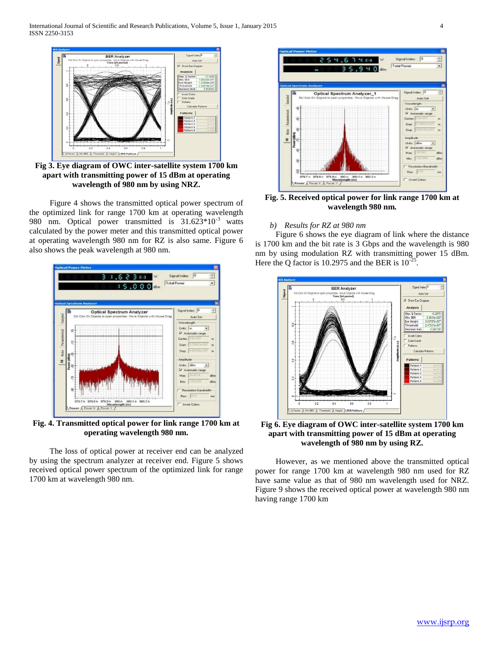International Journal of Scientific and Research Publications, Volume 5, Issue 1, January 2015 4 ISSN 2250-3153



**Fig 3. Eye diagram of OWC inter-satellite system 1700 km apart with transmitting power of 15 dBm at operating wavelength of 980 nm by using NRZ.**

 Figure 4 shows the transmitted optical power spectrum of the optimized link for range 1700 km at operating wavelength 980 nm. Optical power transmitted is  $31.623*10^{-3}$  watts calculated by the power meter and this transmitted optical power at operating wavelength 980 nm for RZ is also same. Figure 6 also shows the peak wavelength at 980 nm.



**Fig. 4. Transmitted optical power for link range 1700 km at operating wavelength 980 nm.**

 The loss of optical power at receiver end can be analyzed by using the spectrum analyzer at receiver end. Figure 5 shows received optical power spectrum of the optimized link for range 1700 km at wavelength 980 nm.



**Fig. 5. Received optical power for link range 1700 km at wavelength 980 nm.**

## *b) Results for RZ at 980 nm*

 Figure 6 shows the eye diagram of link where the distance is 1700 km and the bit rate is 3 Gbps and the wavelength is 980 nm by using modulation RZ with transmitting power 15 dBm. Here the Q factor is 10.2975 and the BER is  $10^{-25}$ .



**Fig 6. Eye diagram of OWC inter-satellite system 1700 km apart with transmitting power of 15 dBm at operating wavelength of 980 nm by using RZ.**

 However, as we mentioned above the transmitted optical power for range 1700 km at wavelength 980 nm used for RZ have same value as that of 980 nm wavelength used for NRZ. Figure 9 shows the received optical power at wavelength 980 nm having range 1700 km